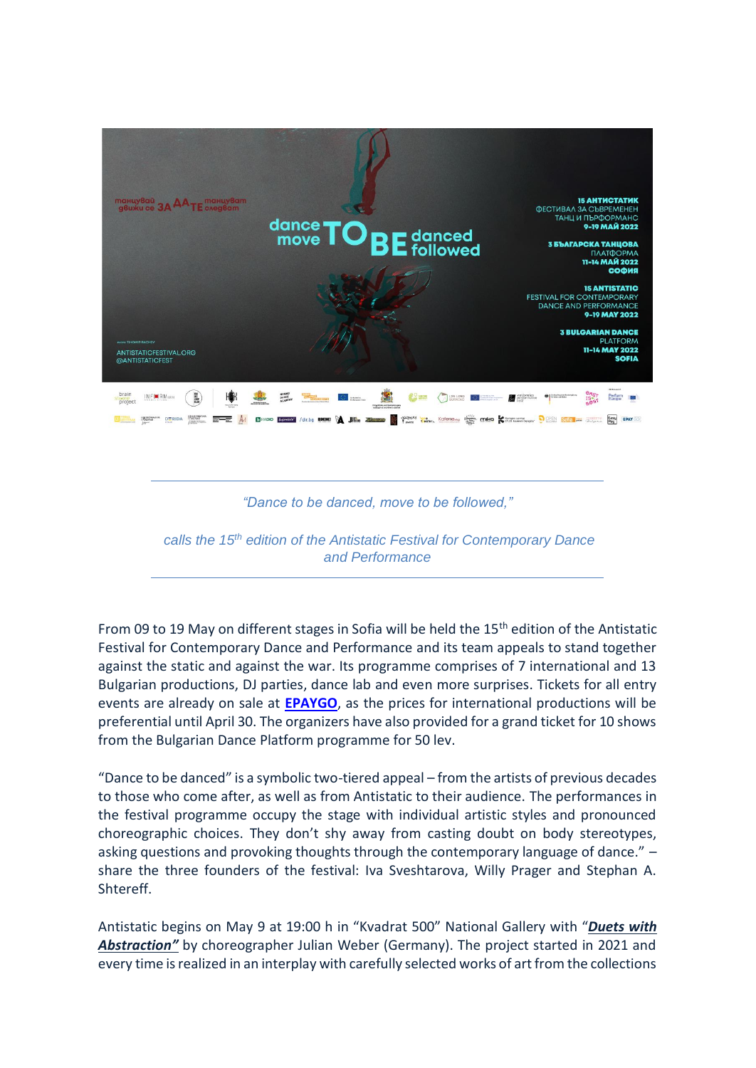

*"Dance to be danced, move to be followed,"*

*calls the 15th edition of the Antistatic Festival for Contemporary Dance and Performance*

From 09 to 19 May on different stages in Sofia will be held the 15<sup>th</sup> edition of the Antistatic Festival for Contemporary Dance and Performance and its team appeals to stand together against the static and against the war. Its programme comprises of 7 international and 13 Bulgarian productions, DJ parties, dance lab and even more surprises. Tickets for all entry events are already on sale at **[EPAYGO](https://epaygo.bg/epaygo/event/Антистатик)**, as the prices for international productions will be preferential until April 30. The organizers have also provided for a grand ticket for 10 shows from the Bulgarian Dance Platform programme for 50 lev.

"Dance to be danced" is a symbolic two-tiered appeal – from the artists of previous decades to those who come after, as well as from Antistatic to their audience. The performances in the festival programme occupy the stage with individual artistic styles and pronounced choreographic choices. They don't shy away from casting doubt on body stereotypes, asking questions and provoking thoughts through the contemporary language of dance." share the three founders of the festival: Iva Sveshtarova, Willy Prager and Stephan A. Shtereff.

Antistatic begins on May 9 at 19:00 h in "Kvadrat 500" National Gallery with "*[Duets with](https://antistaticfestival.org/en/project/duets-with-abstraction/)*  [Abstraction](https://antistaticfestival.org/en/project/duets-with-abstraction/)<sup>"</sup> by choreographer Julian Weber (Germany). The project started in 2021 and every time is realized in an interplay with carefully selected works of art from the collections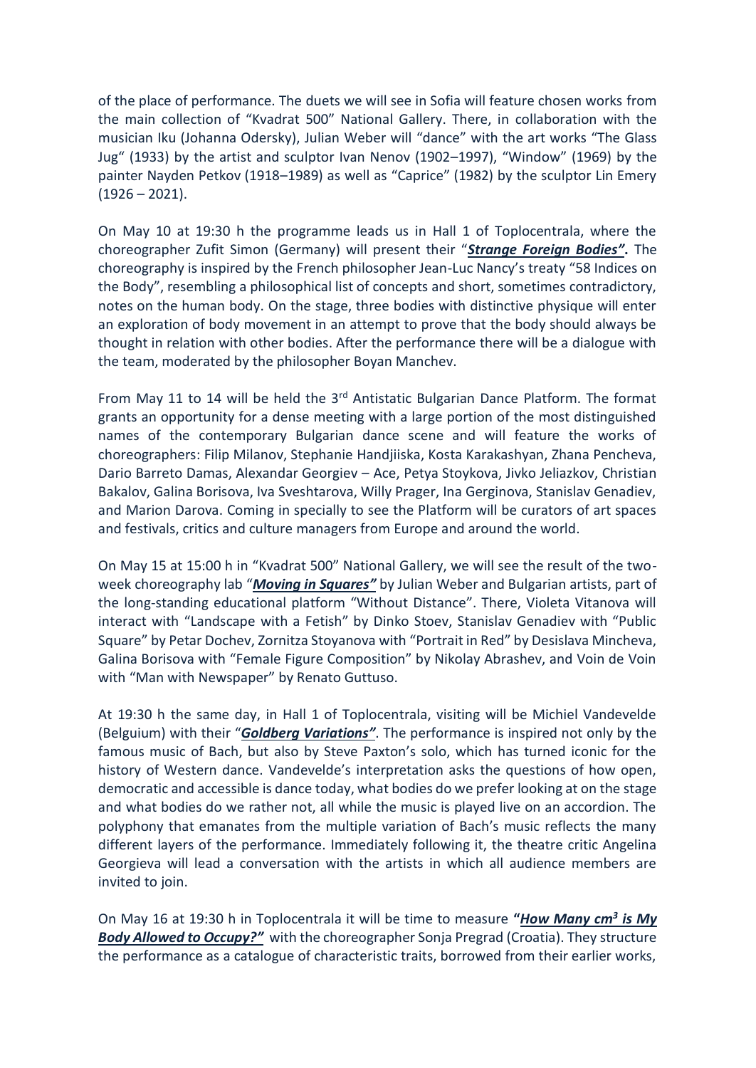of the place of performance. The duets we will see in Sofia will feature chosen works from the main collection of "Kvadrat 500" National Gallery. There, in collaboration with the musician Iku (Johanna Odersky), Julian Weber will "dance" with the art works "The Glass Jug" (1933) by the artist and sculptor Ivan Nenov (1902–1997), "Window" (1969) by the painter Nayden Petkov (1918–1989) as well as "Caprice" (1982) by the sculptor Lin Emery  $(1926 - 2021)$ .

On May 10 at 19:30 h the programme leads us in Hall 1 of Toplocentrala, where the choreographer Zufit Simon (Germany) will present their "*[Strange Foreign Bodies](https://antistaticfestival.org/project/strange-bodies/)"***.** The choreography is inspired by the French philosopher Jean-Luc Nancy's treaty "58 Indices on the Body", resembling a philosophical list of concepts and short, sometimes contradictory, notes on the human body. On the stage, three bodies with distinctive physique will enter an exploration of body movement in an attempt to prove that the body should always be thought in relation with other bodies. After the performance there will be a dialogue with the team, moderated by the philosopher Boyan Manchev.

From May 11 to 14 will be held the  $3<sup>rd</sup>$  Antistatic Bulgarian Dance Platform. The format grants an opportunity for a dense meeting with a large portion of the most distinguished names of the contemporary Bulgarian dance scene and will feature the works of choreographers: Filip Milanov, Stephanie Handjiiska, Kosta Karakashyan, Zhana Pencheva, Dario Barreto Damas, Alexandar Georgiev – Ace, Petya Stoykova, Jivko Jeliazkov, Christian Bakalov, Galina Borisova, Iva Sveshtarova, Willy Prager, Ina Gerginova, Stanislav Genadiev, and Marion Darova. Coming in specially to see the Platform will be curators of art spaces and festivals, critics and culture managers from Europe and around the world.

On May 15 at 15:00 h in "Kvadrat 500" National Gallery, we will see the result of the twoweek choreography lab "*[Moving in Squares](https://antistaticfestival.org/en/project/moving-in-squares/)"* by Julian Weber and Bulgarian artists, part of the long-standing educational platform "Without Distance". There, Violeta Vitanova will interact with "Landscape with a Fetish" by Dinko Stoev, Stanislav Genadiev with "Public Square" by Petar Dochev, Zornitza Stoyanova with "Portrait in Red" by Desislava Mincheva, Galina Borisova with "Female Figure Composition" by Nikolay Abrashev, and Voin de Voin with "Man with Newspaper" by Renato Guttuso.

At 19:30 h the same day, in Hall 1 of Toplocentrala, visiting will be Michiel Vandevelde (Belguium) with their "*[Goldberg Variations](https://antistaticfestival.org/en/project/goldberg-variations-2/)"*. The performance is inspired not only by the famous music of Bach, but also by Steve Paxton's solo, which has turned iconic for the history of Western dance. Vandevelde's interpretation asks the questions of how open, democratic and accessible is dance today, what bodies do we prefer looking at on the stage and what bodies do we rather not, all while the music is played live on an accordion. The polyphony that emanates from the multiple variation of Bach's music reflects the many different layers of the performance. Immediately following it, the theatre critic Angelina Georgieva will lead a conversation with the artists in which all audience members are invited to join.

On May 16 at 19:30 h in Toplocentrala it will be time to measure **"***[How Many cm](https://antistaticfestival.org/en/project/how-many-cubic-cm/)<sup>3</sup> is My [Body Allowed to Occupy?](https://antistaticfestival.org/en/project/how-many-cubic-cm/)"* with the choreographer Sonja Pregrad (Croatia). They structure the performance as a catalogue of characteristic traits, borrowed from their earlier works,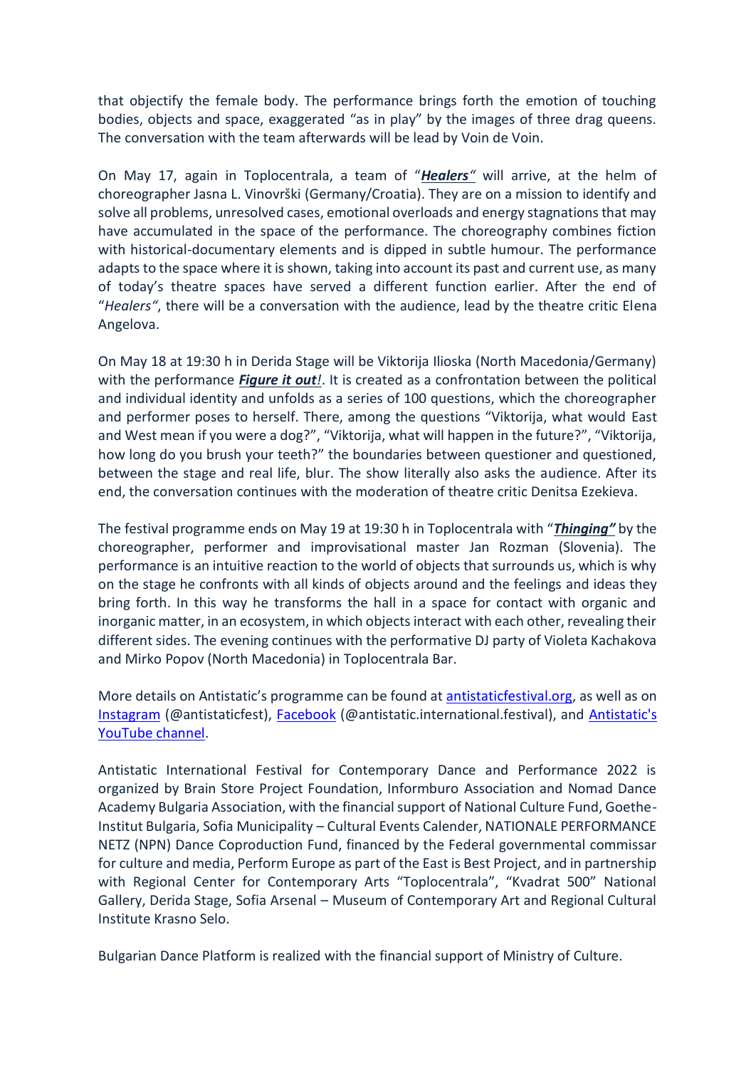that objectify the female body. The performance brings forth the emotion of touching bodies, objects and space, exaggerated "as in play" by the images of three drag queens. The conversation with the team afterwards will be lead by Voin de Voin.

On May 17, again in Toplocentrala, a team of "*[Healers](https://antistaticfestival.org/en/project/healers/)"* will arrive, at the helm of choreographer Jasna L. Vinovrški (Germany/Croatia). They are on a mission to identify and solve all problems, unresolved cases, emotional overloads and energy stagnations that may have accumulated in the space of the performance. The choreography combines fiction with historical-documentary elements and is dipped in subtle humour. The performance adapts to the space where it is shown, taking into account its past and current use, as many of today's theatre spaces have served a different function earlier. After the end of "*Healers"*, there will be a conversation with the audience, lead by the theatre critic Elеna Angelova.

On May 18 at 19:30 h in Derida Stage will be Viktorija Ilioska (North Macedonia/Germany) with the performance *[Figure it out](https://antistaticfestival.org/en/project/figure-it-out/)!*. It is created as a confrontation between the political and individual identity and unfolds as a series of 100 questions, which the choreographer and performer poses to herself. There, among the questions "Viktorija, what would East and West mean if you were a dog?", "Viktorija, what will happen in the future?", "Viktorija, how long do you brush your teeth?" the boundaries between questioner and questioned, between the stage and real life, blur. The show literally also asks the audience. After its end, the conversation continues with the moderation of theatre critic Denitsa Ezekieva.

The festival programme ends on May 19 at 19:30 h in Toplocentrala with "*[Thinging](https://antistaticfestival.org/en/project/thinging/)"* by the choreographer, performer and improvisational master Jan Rozman (Slovenia). The performance is an intuitive reaction to the world of objects that surrounds us, which is why on the stage he confronts with all kinds of objects around and the feelings and ideas they bring forth. In this way he transforms the hall in a space for contact with organic and inorganic matter, in an ecosystem, in which objects interact with each other, revealing their different sides. The evening continues with the performative DJ party of Violeta Kachakova and Mirko Popov (North Macedonia) in Toplocentrala Bar.

More details on Antistatic's programme can be found at [antistaticfestival.org,](http://antistaticfestival.org/) as well as on [Instagram](https://www.instagram.com/antistaticfest/) (@antistaticfest), [Facebook](https://www.facebook.com/antistatic.international.festival) (@antistatic.international.festival), and [Antistatic's](https://www.youtube.com/channel/UCymvzBn5pJ2ONjR_puzgFXg/videos)  [YouTube channel.](https://www.youtube.com/channel/UCymvzBn5pJ2ONjR_puzgFXg/videos)

Antistatic International Festival for Contemporary Dance and Performance 2022 is organized by Brain Store Project Foundation, Informburo Association and Nomad Dance Academy Bulgaria Association, with the financial support of National Culture Fund, Goethe-Institut Bulgaria, Sofia Municipality – Cultural Events Calender, NATIONALE PERFORMANCE NETZ (NPN) Dance Coproduction Fund, financed by the Federal governmental commissar for culture and media, Perform Europe as part of the East is Best Project, and in partnership with Regional Center for Contemporary Arts "Toplocentrala", "Kvadrat 500" National Gallery, Derida Stage, Sofia Arsenal – Museum of Contemporary Art and Regional Cultural Institute Krasno Selo.

Bulgarian Dance Platform is realized with the financial support of Ministry of Culture.